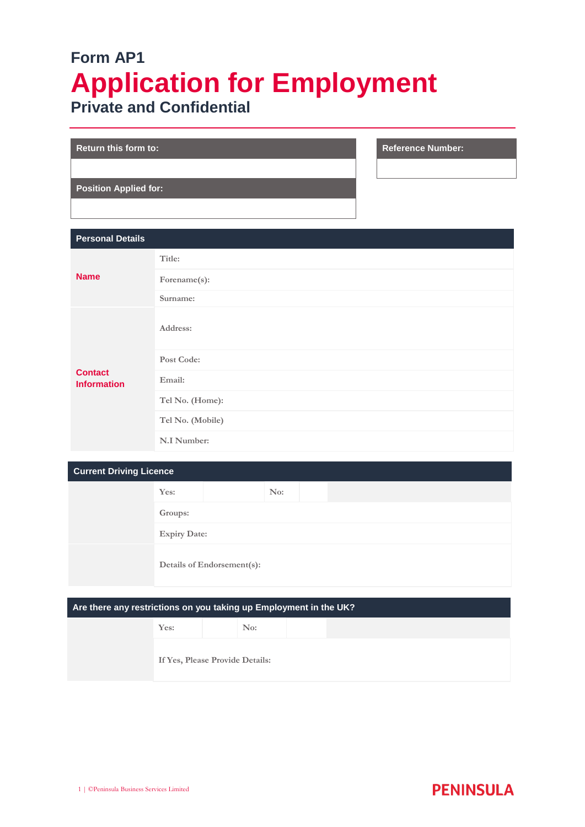# **Form AP1 Application for Employment Private and Confidential**

| <b>Return this form to:</b>  |  |
|------------------------------|--|
|                              |  |
| <b>Position Applied for:</b> |  |
|                              |  |

| <b>Personal Details</b>              |                  |
|--------------------------------------|------------------|
| <b>Name</b>                          | Title:           |
|                                      | Forename(s):     |
|                                      | Surname:         |
| <b>Contact</b><br><b>Information</b> | Address:         |
|                                      | Post Code:       |
|                                      | Email:           |
|                                      | Tel No. (Home):  |
|                                      | Tel No. (Mobile) |
|                                      | N.I Number:      |

**Reference Number:** 

| <b>Current Driving Licence</b>                                    |                            |     |     |  |  |  |  |  |
|-------------------------------------------------------------------|----------------------------|-----|-----|--|--|--|--|--|
|                                                                   | Yes:                       |     | No: |  |  |  |  |  |
|                                                                   | Groups:                    |     |     |  |  |  |  |  |
|                                                                   | <b>Expiry Date:</b>        |     |     |  |  |  |  |  |
|                                                                   | Details of Endorsement(s): |     |     |  |  |  |  |  |
|                                                                   |                            |     |     |  |  |  |  |  |
| Are there any restrictions on you taking up Employment in the UK? |                            |     |     |  |  |  |  |  |
|                                                                   | Yes:                       | No: |     |  |  |  |  |  |
|                                                                   |                            |     |     |  |  |  |  |  |

**If Yes, Please Provide Details:**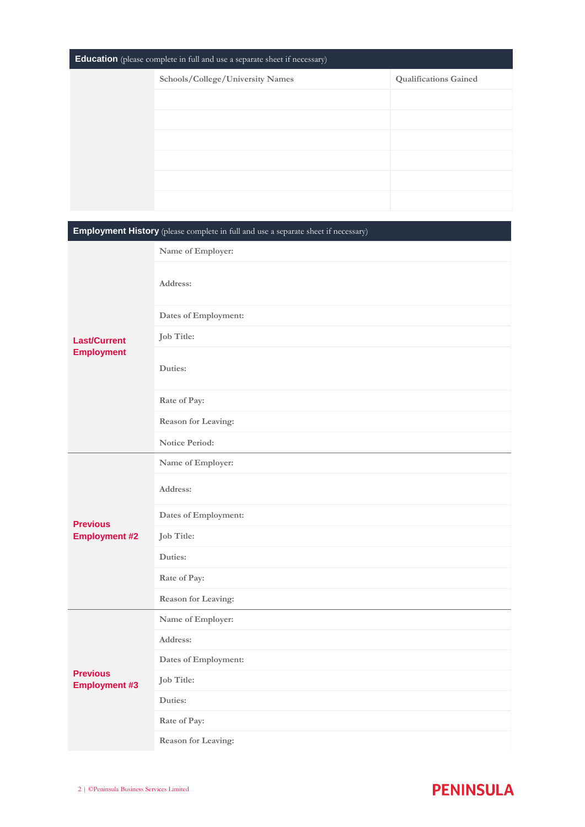| <b>Education</b> (please complete in full and use a separate sheet if necessary) |                                  |                              |  |  |  |
|----------------------------------------------------------------------------------|----------------------------------|------------------------------|--|--|--|
|                                                                                  | Schools/College/University Names | <b>Qualifications Gained</b> |  |  |  |
|                                                                                  |                                  |                              |  |  |  |
|                                                                                  |                                  |                              |  |  |  |
|                                                                                  |                                  |                              |  |  |  |
|                                                                                  |                                  |                              |  |  |  |
|                                                                                  |                                  |                              |  |  |  |
|                                                                                  |                                  |                              |  |  |  |

## **Employment History** (please complete in full and use a separate sheet if necessary) **Last/Current Employment Name of Employer: Address: Dates of Employment: Job Title: Duties: Rate of Pay: Reason for Leaving: Notice Period: Previous Employment #2 Name of Employer: Address: Dates of Employment: Job Title: Duties: Rate of Pay: Reason for Leaving: Previous Employment #3 Name of Employer: Address: Dates of Employment: Job Title: Duties: Rate of Pay: Reason for Leaving:**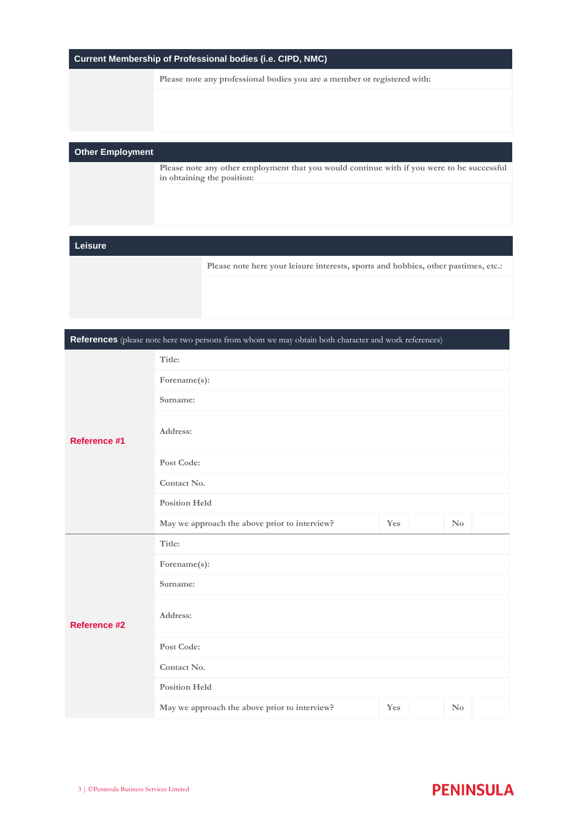| Current Membership of Professional bodies (i.e. CIPD, NMC) |
|------------------------------------------------------------|
|------------------------------------------------------------|

**Please note any professional bodies you are a member or registered with:**

### **Other Employment**

**Please note any other employment that you would continue with if you were to be successful in obtaining the position:**

#### **Leisure**

**Please note here your leisure interests, sports and hobbies, other pastimes, etc.:**

**References** (please note here two persons from whom we may obtain both character and work references)

|                     | Title:                                        |     |  |                        |  |  |  |  |
|---------------------|-----------------------------------------------|-----|--|------------------------|--|--|--|--|
|                     | Forename(s):                                  |     |  |                        |  |  |  |  |
| <b>Reference #1</b> | Surname:                                      |     |  |                        |  |  |  |  |
|                     | Address:                                      |     |  |                        |  |  |  |  |
|                     | Post Code:                                    |     |  |                        |  |  |  |  |
|                     | Contact No.                                   |     |  |                        |  |  |  |  |
|                     | <b>Position Held</b>                          |     |  |                        |  |  |  |  |
|                     | May we approach the above prior to interview? | Yes |  | $\mathbf{N}\mathbf{o}$ |  |  |  |  |
| <b>Reference #2</b> | Title:                                        |     |  |                        |  |  |  |  |
|                     | Forename(s):                                  |     |  |                        |  |  |  |  |
|                     | Surname:                                      |     |  |                        |  |  |  |  |
|                     | Address:                                      |     |  |                        |  |  |  |  |
|                     | Post Code:                                    |     |  |                        |  |  |  |  |
|                     | Contact No.                                   |     |  |                        |  |  |  |  |
|                     | <b>Position Held</b>                          |     |  |                        |  |  |  |  |
|                     | May we approach the above prior to interview? | Yes |  | $\rm No$               |  |  |  |  |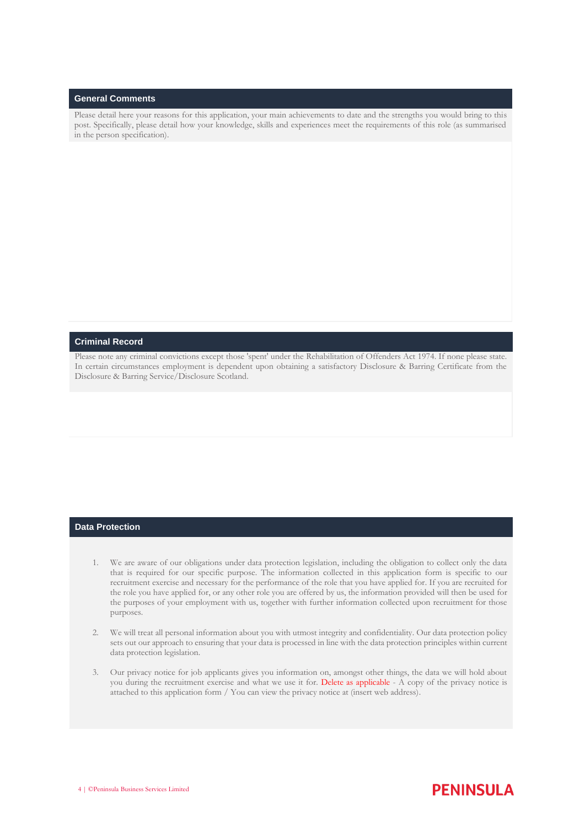#### **General Comments**

Please detail here your reasons for this application, your main achievements to date and the strengths you would bring to this post. Specifically, please detail how your knowledge, skills and experiences meet the requirements of this role (as summarised in the person specification).

#### **Criminal Record**

Please note any criminal convictions except those 'spent' under the Rehabilitation of Offenders Act 1974. If none please state. In certain circumstances employment is dependent upon obtaining a satisfactory Disclosure & Barring Certificate from the Disclosure & Barring Service/Disclosure Scotland.

#### **Data Protection**

- 1. We are aware of our obligations under data protection legislation, including the obligation to collect only the data that is required for our specific purpose. The information collected in this application form is specific to our recruitment exercise and necessary for the performance of the role that you have applied for. If you are recruited for the role you have applied for, or any other role you are offered by us, the information provided will then be used for the purposes of your employment with us, together with further information collected upon recruitment for those purposes.
- 2. We will treat all personal information about you with utmost integrity and confidentiality. Our data protection policy sets out our approach to ensuring that your data is processed in line with the data protection principles within current data protection legislation.
- 3. Our privacy notice for job applicants gives you information on, amongst other things, the data we will hold about you during the recruitment exercise and what we use it for. Delete as applicable - A copy of the privacy notice is attached to this application form / You can view the privacy notice at (insert web address).